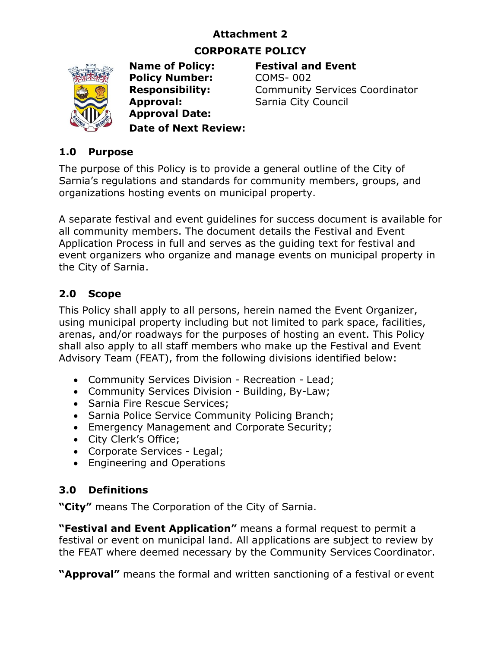# **Attachment 2**

## **CORPORATE POLICY**



**Name of Policy: Festival and Event Policy Number:** COMS- 002 **Approval:** Sarnia City Council **Approval Date: Date of Next Review:**

**Responsibility:** Community Services Coordinator

### **1.0 Purpose**

The purpose of this Policy is to provide a general outline of the City of Sarnia's regulations and standards for community members, groups, and organizations hosting events on municipal property.

A separate festival and event guidelines for success document is available for all community members. The document details the Festival and Event Application Process in full and serves as the guiding text for festival and event organizers who organize and manage events on municipal property in the City of Sarnia.

#### **2.0 Scope**

This Policy shall apply to all persons, herein named the Event Organizer, using municipal property including but not limited to park space, facilities, arenas, and/or roadways for the purposes of hosting an event. This Policy shall also apply to all staff members who make up the Festival and Event Advisory Team (FEAT), from the following divisions identified below:

- Community Services Division Recreation Lead;
- Community Services Division Building, By-Law;
- Sarnia Fire Rescue Services;
- Sarnia Police Service Community Policing Branch;
- Emergency Management and Corporate Security;
- City Clerk's Office;
- Corporate Services Legal;
- Engineering and Operations

## **3.0 Definitions**

**"City"** means The Corporation of the City of Sarnia.

**"Festival and Event Application"** means a formal request to permit a festival or event on municipal land. All applications are subject to review by the FEAT where deemed necessary by the Community Services Coordinator.

**"Approval"** means the formal and written sanctioning of a festival or event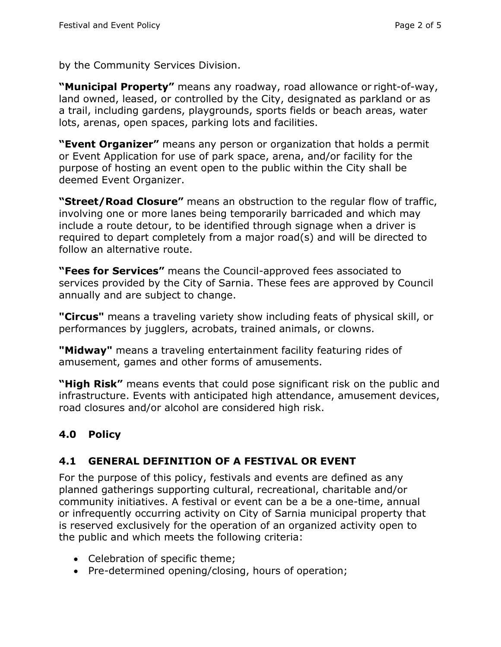by the Community Services Division.

**"Municipal Property"** means any roadway, road allowance or right-of-way, land owned, leased, or controlled by the City, designated as parkland or as a trail, including gardens, playgrounds, sports fields or beach areas, water lots, arenas, open spaces, parking lots and facilities.

**"Event Organizer"** means any person or organization that holds a permit or Event Application for use of park space, arena, and/or facility for the purpose of hosting an event open to the public within the City shall be deemed Event Organizer.

**"Street/Road Closure"** means an obstruction to the regular flow of traffic, involving one or more lanes being temporarily barricaded and which may include a route detour, to be identified through signage when a driver is required to depart completely from a major road(s) and will be directed to follow an alternative route.

**"Fees for Services"** means the Council-approved fees associated to services provided by the City of Sarnia. These fees are approved by Council annually and are subject to change.

**"Circus"** means a traveling variety show including feats of physical skill, or performances by jugglers, acrobats, trained animals, or clowns.

**"Midway"** means a traveling entertainment facility featuring rides of amusement, games and other forms of amusements.

**"High Risk"** means events that could pose significant risk on the public and infrastructure. Events with anticipated high attendance, amusement devices, road closures and/or alcohol are considered high risk.

## **4.0 Policy**

#### **4.1 GENERAL DEFINITION OF A FESTIVAL OR EVENT**

For the purpose of this policy, festivals and events are defined as any planned gatherings supporting cultural, recreational, charitable and/or community initiatives. A festival or event can be a be a one-time, annual or infrequently occurring activity on City of Sarnia municipal property that is reserved exclusively for the operation of an organized activity open to the public and which meets the following criteria:

- Celebration of specific theme;
- Pre-determined opening/closing, hours of operation;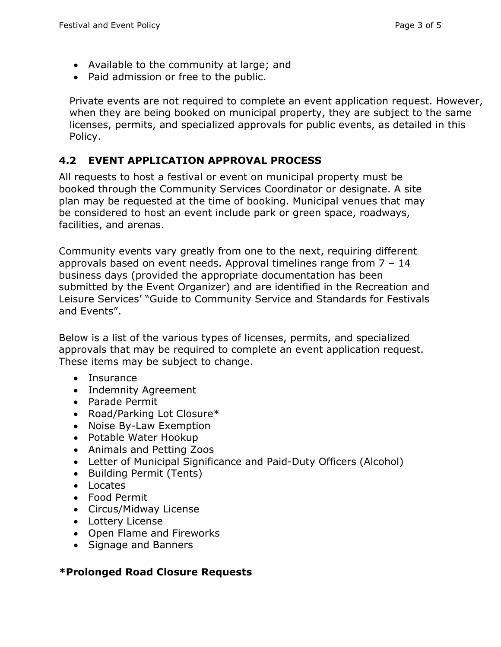- Available to the community at large; and
- Paid admission or free to the public.

Private events are not required to complete an event application request. However, when they are being booked on municipal property, they are subject to the same licenses, permits, and specialized approvals for public events, as detailed in this Policy.

## **4.2 EVENT APPLICATION APPROVAL PROCESS**

All requests to host a festival or event on municipal property must be booked through the Community Services Coordinator or designate. A site plan may be requested at the time of booking. Municipal venues that may be considered to host an event include park or green space, roadways, facilities, and arenas.

Community events vary greatly from one to the next, requiring different approvals based on event needs. Approval timelines range from 7 – 14 business days (provided the appropriate documentation has been submitted by the Event Organizer) and are identified in the Recreation and Leisure Services' "Guide to Community Service and Standards for Festivals and Events".

Below is a list of the various types of licenses, permits, and specialized approvals that may be required to complete an event application request. These items may be subject to change.

- Insurance
- Indemnity Agreement
- Parade Permit
- Road/Parking Lot Closure\*
- Noise By-Law Exemption
- Potable Water Hookup
- Animals and Petting Zoos
- Letter of Municipal Significance and Paid-Duty Officers (Alcohol)
- Building Permit (Tents)
- Locates
- Food Permit
- Circus/Midway License
- Lottery License
- Open Flame and Fireworks
- Signage and Banners

#### **\*Prolonged Road Closure Requests**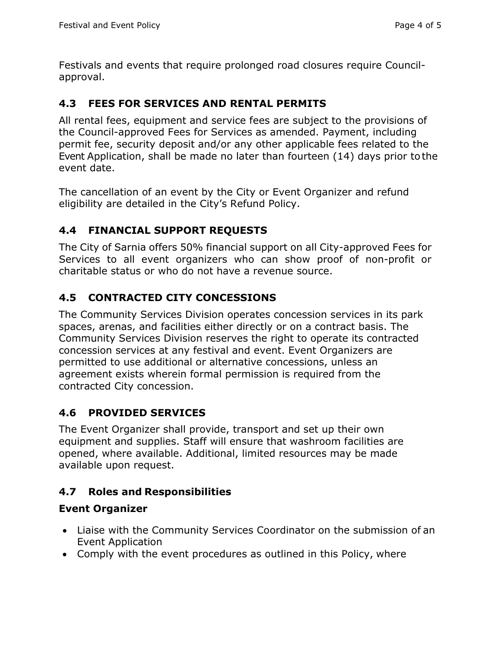Festivals and events that require prolonged road closures require Councilapproval.

#### **4.3 FEES FOR SERVICES AND RENTAL PERMITS**

All rental fees, equipment and service fees are subject to the provisions of the Council-approved Fees for Services as amended. Payment, including permit fee, security deposit and/or any other applicable fees related to the Event Application, shall be made no later than fourteen (14) days prior tothe event date.

The cancellation of an event by the City or Event Organizer and refund eligibility are detailed in the City's Refund Policy.

## **4.4 FINANCIAL SUPPORT REQUESTS**

The City of Sarnia offers 50% financial support on all City-approved Fees for Services to all event organizers who can show proof of non-profit or charitable status or who do not have a revenue source.

## **4.5 CONTRACTED CITY CONCESSIONS**

The Community Services Division operates concession services in its park spaces, arenas, and facilities either directly or on a contract basis. The Community Services Division reserves the right to operate its contracted concession services at any festival and event. Event Organizers are permitted to use additional or alternative concessions, unless an agreement exists wherein formal permission is required from the contracted City concession.

## **4.6 PROVIDED SERVICES**

The Event Organizer shall provide, transport and set up their own equipment and supplies. Staff will ensure that washroom facilities are opened, where available. Additional, limited resources may be made available upon request.

## **4.7 Roles and Responsibilities**

#### **Event Organizer**

- Liaise with the Community Services Coordinator on the submission of an Event Application
- Comply with the event procedures as outlined in this Policy, where